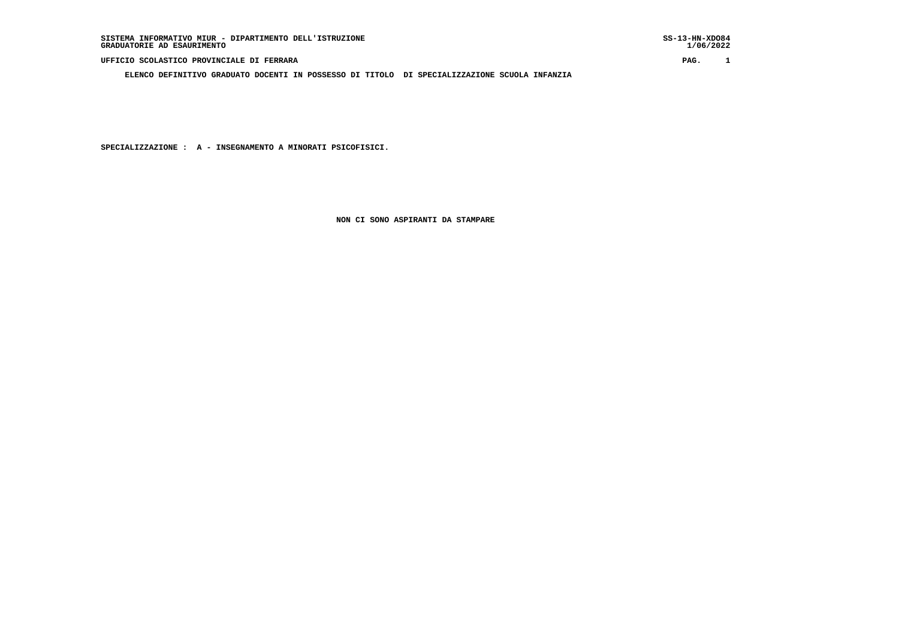**UFFICIO SCOLASTICO PROVINCIALE DI FERRARA PAG. 1**

 **ELENCO DEFINITIVO GRADUATO DOCENTI IN POSSESSO DI TITOLO DI SPECIALIZZAZIONE SCUOLA INFANZIA**

SS-13-HN-XDO84<br>1/06/2022

 **SPECIALIZZAZIONE : A - INSEGNAMENTO A MINORATI PSICOFISICI.**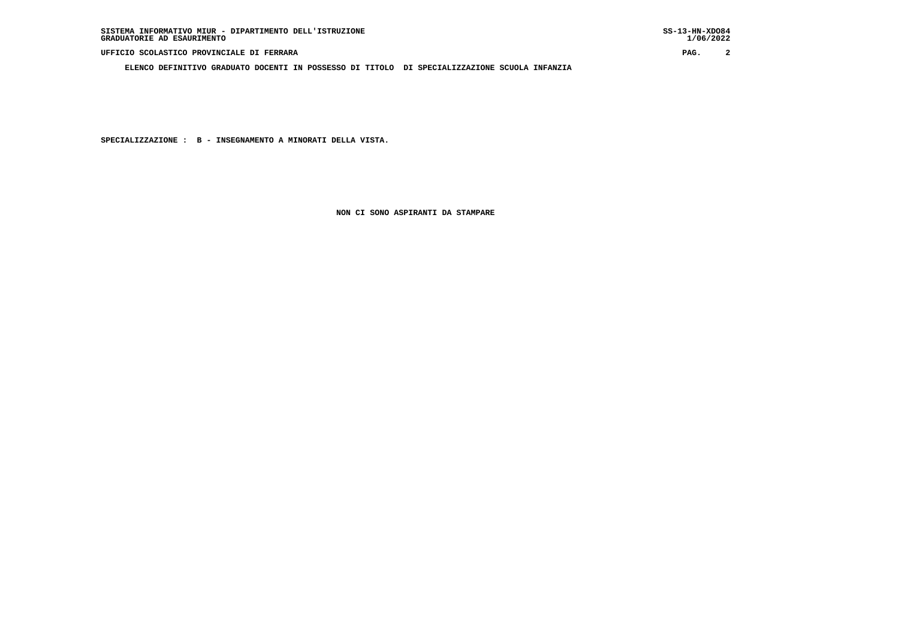**UFFICIO SCOLASTICO PROVINCIALE DI FERRARA PAG. 2**

 **ELENCO DEFINITIVO GRADUATO DOCENTI IN POSSESSO DI TITOLO DI SPECIALIZZAZIONE SCUOLA INFANZIA**

 $1/06/2022$ 

 **SPECIALIZZAZIONE : B - INSEGNAMENTO A MINORATI DELLA VISTA.**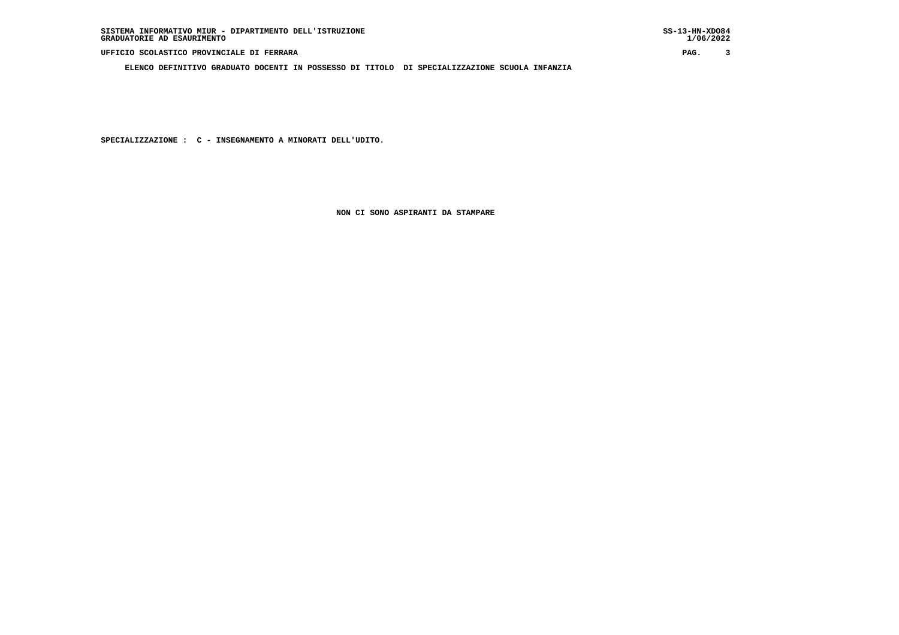**ELENCO DEFINITIVO GRADUATO DOCENTI IN POSSESSO DI TITOLO DI SPECIALIZZAZIONE SCUOLA INFANZIA**

 $1/06/2022$ 

 **SPECIALIZZAZIONE : C - INSEGNAMENTO A MINORATI DELL'UDITO.**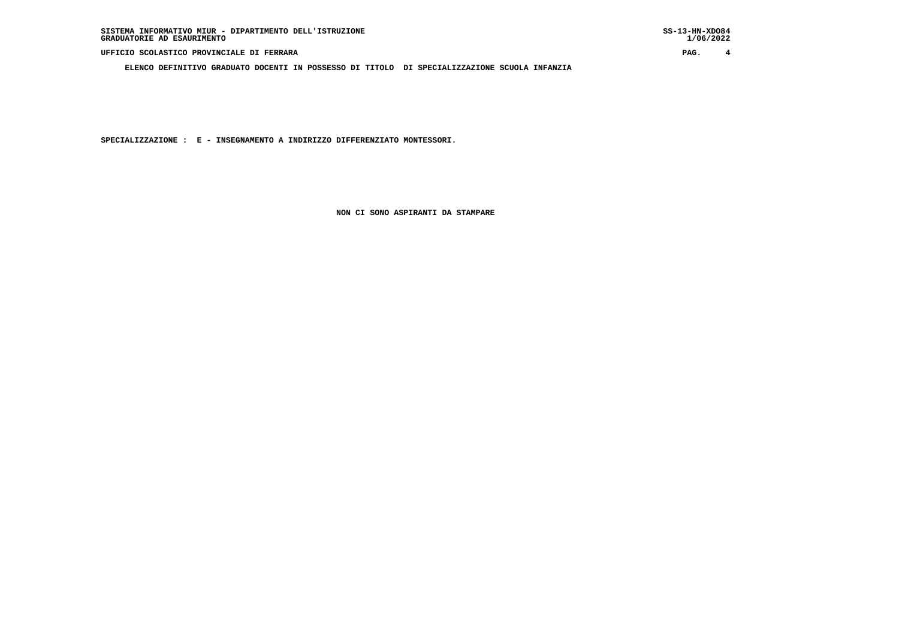**ELENCO DEFINITIVO GRADUATO DOCENTI IN POSSESSO DI TITOLO DI SPECIALIZZAZIONE SCUOLA INFANZIA**

 **SPECIALIZZAZIONE : E - INSEGNAMENTO A INDIRIZZO DIFFERENZIATO MONTESSORI.**